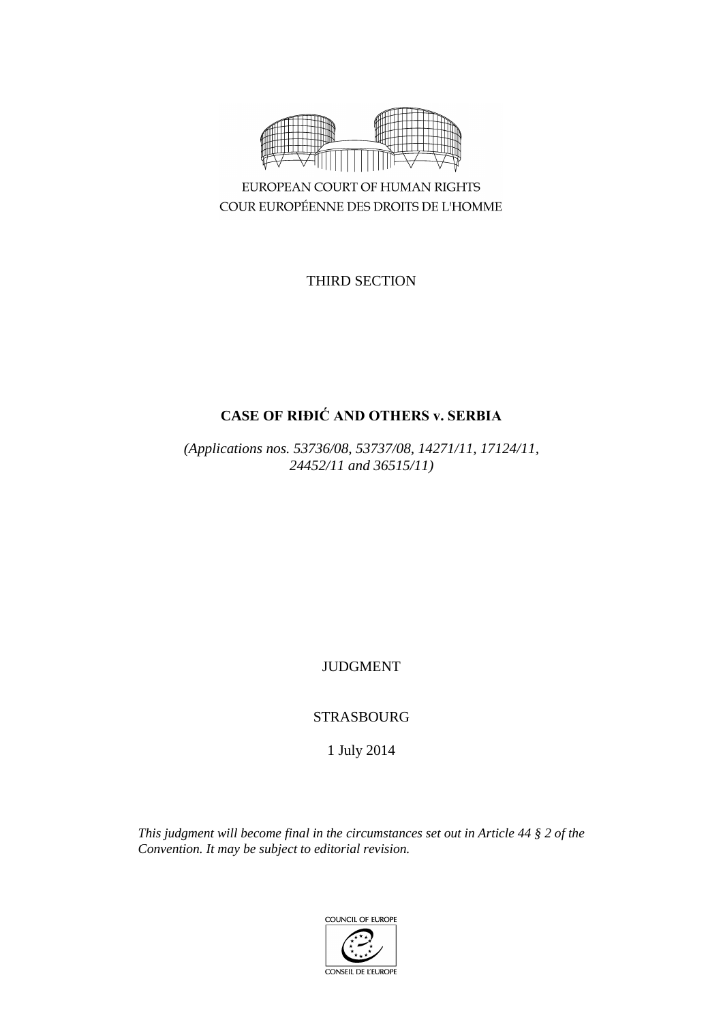

EUROPEAN COURT OF HUMAN RIGHTS COUR EUROPÉENNE DES DROITS DE L'HOMME

THIRD SECTION

# **CASE OF RIĐIĆ AND OTHERS v. SERBIA**

*(Applications nos. 53736/08, 53737/08, 14271/11, 17124/11, 24452/11 and 36515/11)*

JUDGMENT

STRASBOURG

1 July 2014

*This judgment will become final in the circumstances set out in Article 44 § 2 of the Convention. It may be subject to editorial revision.*

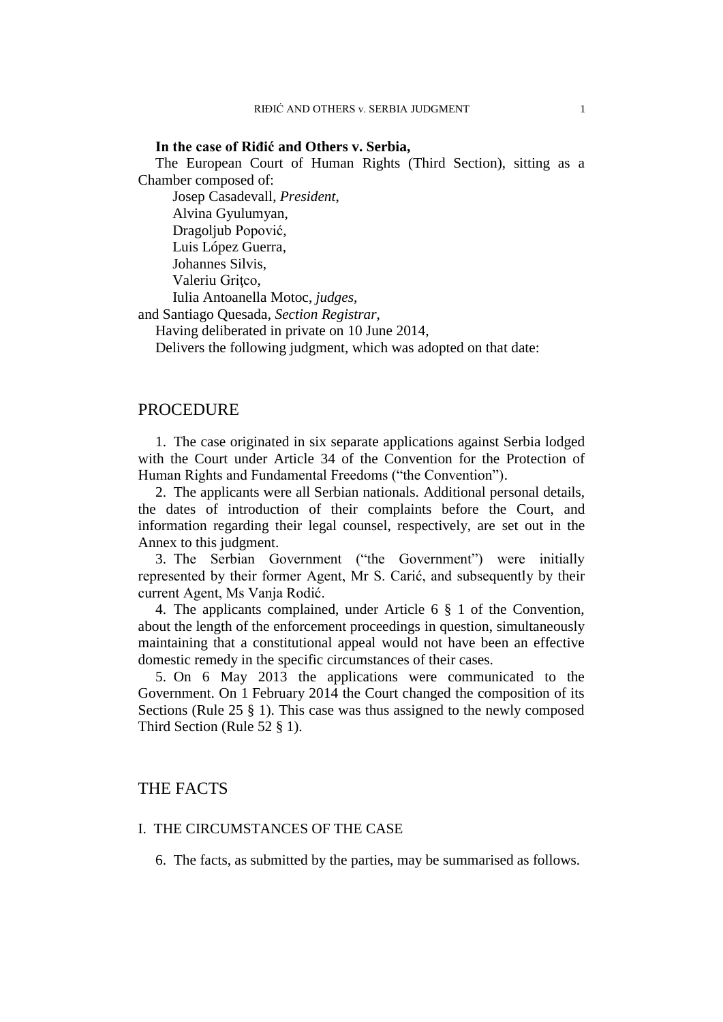#### **In the case of Riđić and Others v. Serbia,**

The European Court of Human Rights (Third Section), sitting as a Chamber composed of:

Josep Casadevall, *President*, Alvina Gyulumyan, Dragoljub Popović, Luis López Guerra, Johannes Silvis, Valeriu Gritco, Iulia Antoanella Motoc, *judges*,

and Santiago Quesada, *Section Registrar*,

Having deliberated in private on 10 June 2014,

Delivers the following judgment, which was adopted on that date:

## PROCEDURE

1. The case originated in six separate applications against Serbia lodged with the Court under Article 34 of the Convention for the Protection of Human Rights and Fundamental Freedoms ("the Convention").

2. The applicants were all Serbian nationals. Additional personal details, the dates of introduction of their complaints before the Court, and information regarding their legal counsel, respectively, are set out in the Annex to this judgment.

3. The Serbian Government ("the Government") were initially represented by their former Agent, Mr S. Carić, and subsequently by their current Agent, Ms Vanja Rodić.

4. The applicants complained, under Article 6 § 1 of the Convention, about the length of the enforcement proceedings in question, simultaneously maintaining that a constitutional appeal would not have been an effective domestic remedy in the specific circumstances of their cases.

5. On 6 May 2013 the applications were communicated to the Government. On 1 February 2014 the Court changed the composition of its Sections (Rule 25 § 1). This case was thus assigned to the newly composed Third Section (Rule 52 § 1).

## THE FACTS

### I. THE CIRCUMSTANCES OF THE CASE

6. The facts, as submitted by the parties, may be summarised as follows.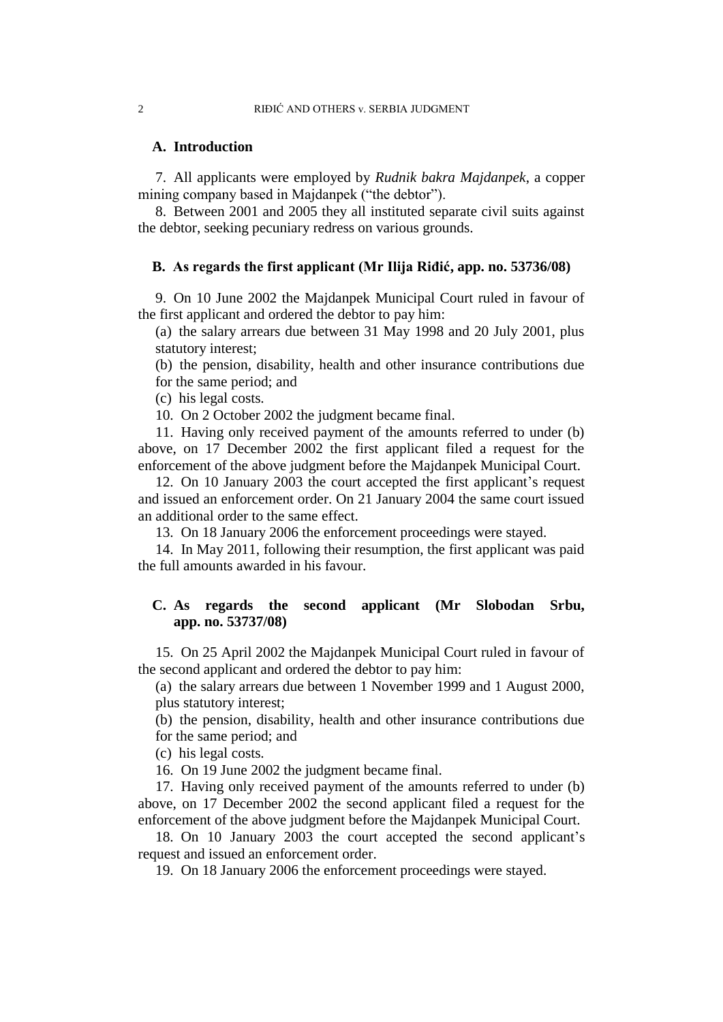### **A. Introduction**

7. All applicants were employed by *Rudnik bakra Majdanpek*, a copper mining company based in Majdanpek ("the debtor").

8. Between 2001 and 2005 they all instituted separate civil suits against the debtor, seeking pecuniary redress on various grounds.

### **B. As regards the first applicant (Mr Ilija Riđić, app. no. 53736/08)**

9. On 10 June 2002 the Majdanpek Municipal Court ruled in favour of the first applicant and ordered the debtor to pay him:

(a) the salary arrears due between 31 May 1998 and 20 July 2001, plus statutory interest;

(b) the pension, disability, health and other insurance contributions due for the same period; and

(c) his legal costs.

10. On 2 October 2002 the judgment became final.

11. Having only received payment of the amounts referred to under (b) above, on 17 December 2002 the first applicant filed a request for the enforcement of the above judgment before the Majdanpek Municipal Court.

12. On 10 January 2003 the court accepted the first applicant's request and issued an enforcement order. On 21 January 2004 the same court issued an additional order to the same effect.

13. On 18 January 2006 the enforcement proceedings were stayed.

14. In May 2011, following their resumption, the first applicant was paid the full amounts awarded in his favour.

## **C. As regards the second applicant (Mr Slobodan Srbu, app. no. 53737/08)**

15. On 25 April 2002 the Majdanpek Municipal Court ruled in favour of the second applicant and ordered the debtor to pay him:

(a) the salary arrears due between 1 November 1999 and 1 August 2000, plus statutory interest;

(b) the pension, disability, health and other insurance contributions due for the same period; and

(c) his legal costs.

16. On 19 June 2002 the judgment became final.

17. Having only received payment of the amounts referred to under (b) above, on 17 December 2002 the second applicant filed a request for the enforcement of the above judgment before the Majdanpek Municipal Court.

18. On 10 January 2003 the court accepted the second applicant's request and issued an enforcement order.

19. On 18 January 2006 the enforcement proceedings were stayed.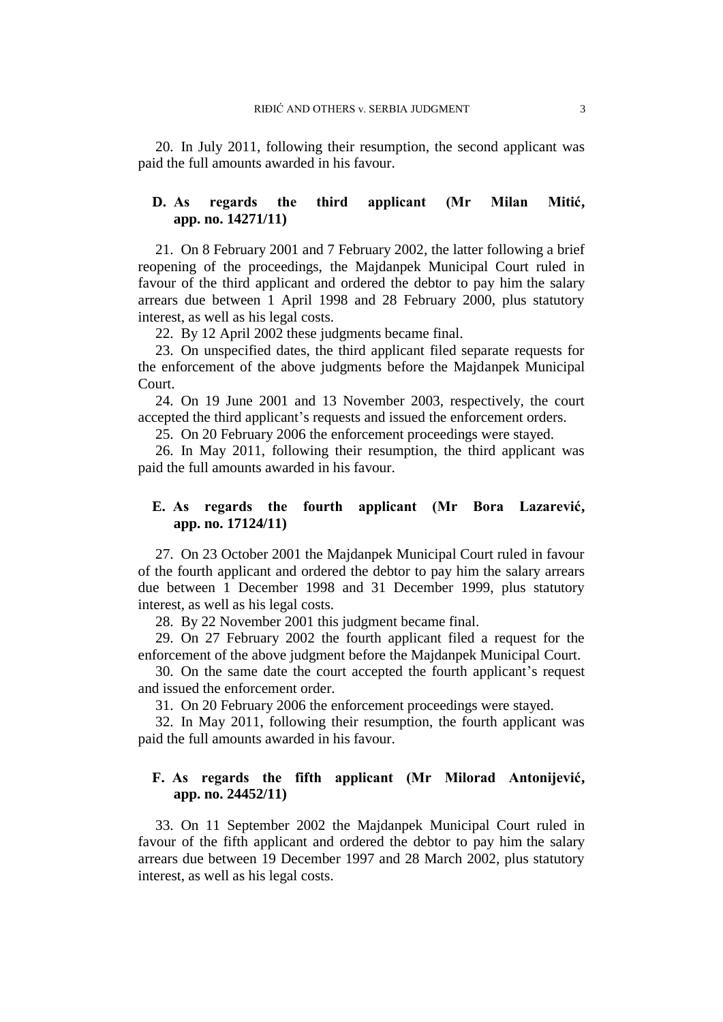20. In July 2011, following their resumption, the second applicant was paid the full amounts awarded in his favour.

## **D. As regards the third applicant (Mr Milan Mitić, app. no. 14271/11)**

21. On 8 February 2001 and 7 February 2002, the latter following a brief reopening of the proceedings, the Majdanpek Municipal Court ruled in favour of the third applicant and ordered the debtor to pay him the salary arrears due between 1 April 1998 and 28 February 2000, plus statutory interest, as well as his legal costs.

22. By 12 April 2002 these judgments became final.

23. On unspecified dates, the third applicant filed separate requests for the enforcement of the above judgments before the Majdanpek Municipal Court.

24. On 19 June 2001 and 13 November 2003, respectively, the court accepted the third applicant's requests and issued the enforcement orders.

25. On 20 February 2006 the enforcement proceedings were stayed.

26. In May 2011, following their resumption, the third applicant was paid the full amounts awarded in his favour.

## **E. As regards the fourth applicant (Mr Bora Lazarević, app. no. 17124/11)**

27. On 23 October 2001 the Majdanpek Municipal Court ruled in favour of the fourth applicant and ordered the debtor to pay him the salary arrears due between 1 December 1998 and 31 December 1999, plus statutory interest, as well as his legal costs.

28. By 22 November 2001 this judgment became final.

29. On 27 February 2002 the fourth applicant filed a request for the enforcement of the above judgment before the Majdanpek Municipal Court.

30. On the same date the court accepted the fourth applicant's request and issued the enforcement order.

31. On 20 February 2006 the enforcement proceedings were stayed.

32. In May 2011, following their resumption, the fourth applicant was paid the full amounts awarded in his favour.

## **F. As regards the fifth applicant (Mr Milorad Antonijević, app. no. 24452/11)**

33. On 11 September 2002 the Majdanpek Municipal Court ruled in favour of the fifth applicant and ordered the debtor to pay him the salary arrears due between 19 December 1997 and 28 March 2002, plus statutory interest, as well as his legal costs.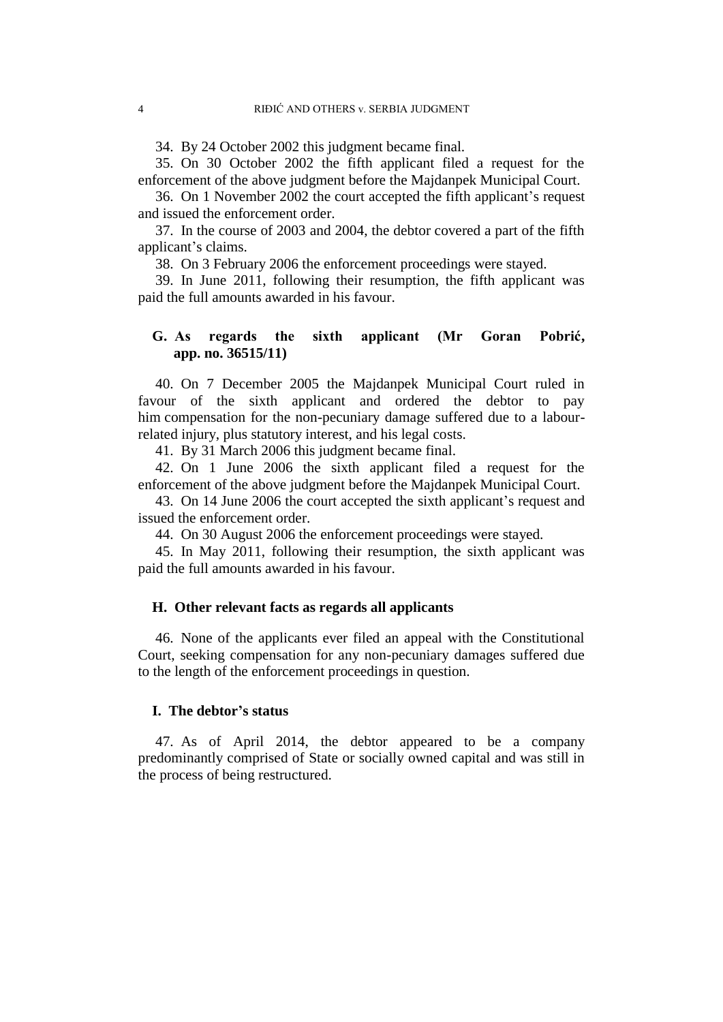34. By 24 October 2002 this judgment became final.

35. On 30 October 2002 the fifth applicant filed a request for the enforcement of the above judgment before the Majdanpek Municipal Court.

36. On 1 November 2002 the court accepted the fifth applicant's request and issued the enforcement order.

37. In the course of 2003 and 2004, the debtor covered a part of the fifth applicant's claims.

38. On 3 February 2006 the enforcement proceedings were stayed.

39. In June 2011, following their resumption, the fifth applicant was paid the full amounts awarded in his favour.

## **G. As regards the sixth applicant (Mr Goran Pobrić, app. no. 36515/11)**

40. On 7 December 2005 the Majdanpek Municipal Court ruled in favour of the sixth applicant and ordered the debtor to pay him compensation for the non-pecuniary damage suffered due to a labourrelated injury, plus statutory interest, and his legal costs.

41. By 31 March 2006 this judgment became final.

42. On 1 June 2006 the sixth applicant filed a request for the enforcement of the above judgment before the Majdanpek Municipal Court.

43. On 14 June 2006 the court accepted the sixth applicant's request and issued the enforcement order.

44. On 30 August 2006 the enforcement proceedings were stayed.

45. In May 2011, following their resumption, the sixth applicant was paid the full amounts awarded in his favour.

### **H. Other relevant facts as regards all applicants**

46. None of the applicants ever filed an appeal with the Constitutional Court, seeking compensation for any non-pecuniary damages suffered due to the length of the enforcement proceedings in question.

### **I. The debtor's status**

47. As of April 2014, the debtor appeared to be a company predominantly comprised of State or socially owned capital and was still in the process of being restructured.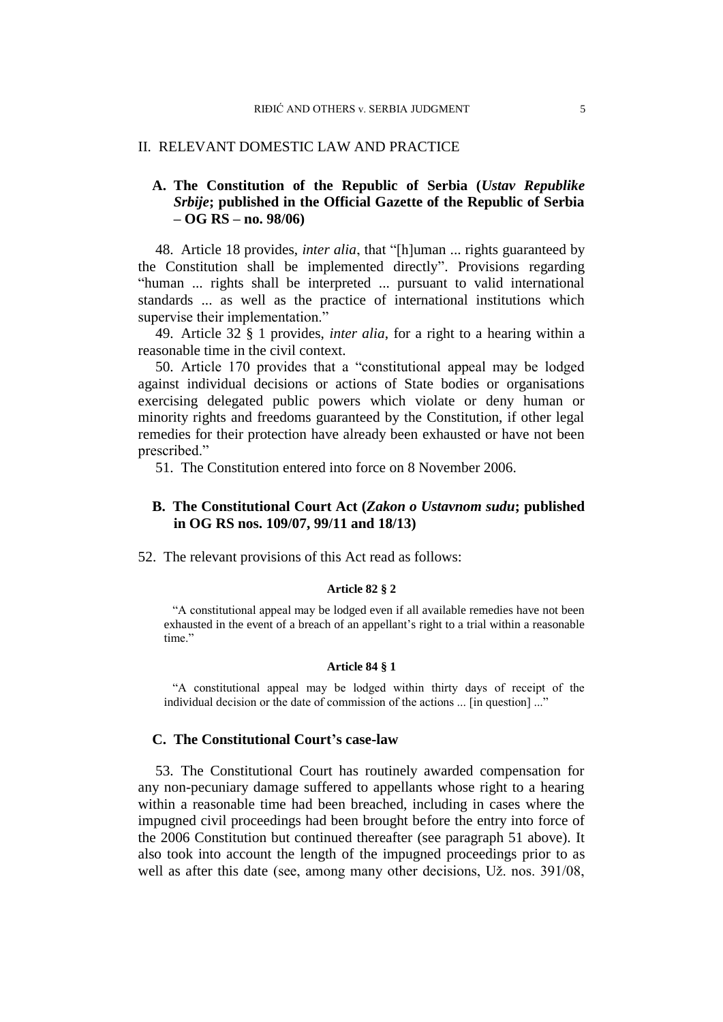### II. RELEVANT DOMESTIC LAW AND PRACTICE

## **A. The Constitution of the Republic of Serbia (***Ustav Republike Srbije***; published in the Official Gazette of the Republic of Serbia – OG RS – no. 98/06)**

48. Article 18 provides, *inter alia*, that "[h]uman ... rights guaranteed by the Constitution shall be implemented directly". Provisions regarding "human ... rights shall be interpreted ... pursuant to valid international standards ... as well as the practice of international institutions which supervise their implementation."

49. Article 32 § 1 provides, *inter alia*, for a right to a hearing within a reasonable time in the civil context.

50. Article 170 provides that a "constitutional appeal may be lodged against individual decisions or actions of State bodies or organisations exercising delegated public powers which violate or deny human or minority rights and freedoms guaranteed by the Constitution, if other legal remedies for their protection have already been exhausted or have not been prescribed."

51. The Constitution entered into force on 8 November 2006.

### **B. The Constitutional Court Act (***Zakon o Ustavnom sudu***; published in OG RS nos. 109/07, 99/11 and 18/13)**

52. The relevant provisions of this Act read as follows:

#### **Article 82 § 2**

"A constitutional appeal may be lodged even if all available remedies have not been exhausted in the event of a breach of an appellant's right to a trial within a reasonable time."

#### **Article 84 § 1**

"A constitutional appeal may be lodged within thirty days of receipt of the individual decision or the date of commission of the actions ... [in question] ..."

### **C. The Constitutional Court's case-law**

53. The Constitutional Court has routinely awarded compensation for any non-pecuniary damage suffered to appellants whose right to a hearing within a reasonable time had been breached, including in cases where the impugned civil proceedings had been brought before the entry into force of the 2006 Constitution but continued thereafter (see paragraph 51 above). It also took into account the length of the impugned proceedings prior to as well as after this date (see, among many other decisions, Už. nos. 391/08,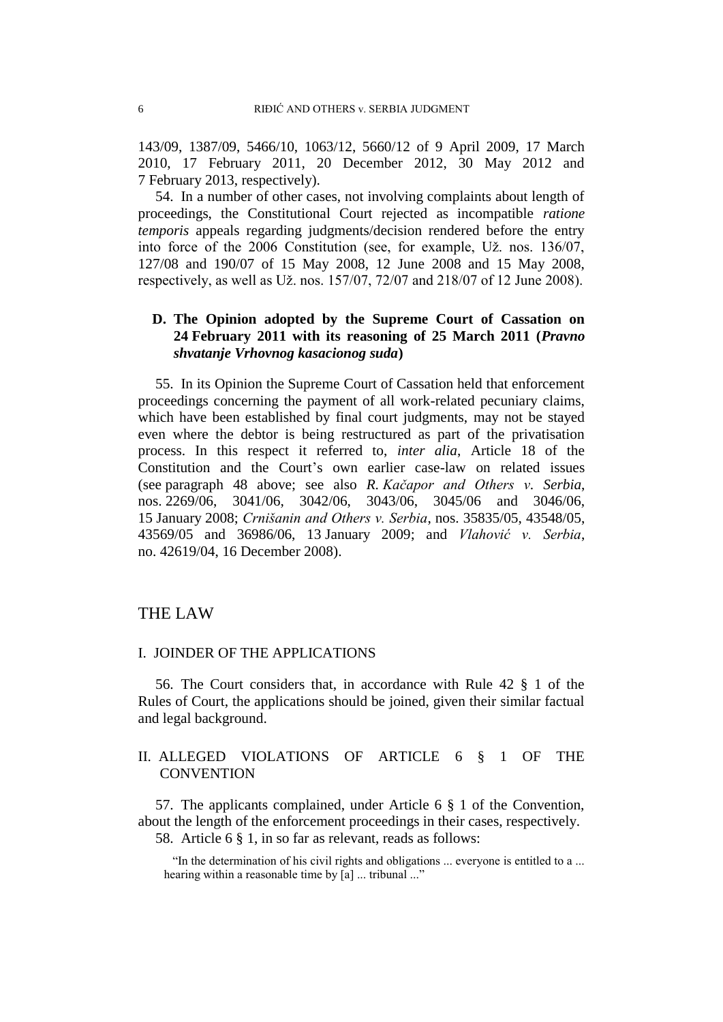143/09, 1387/09, 5466/10, 1063/12, 5660/12 of 9 April 2009, 17 March 2010, 17 February 2011, 20 December 2012, 30 May 2012 and 7 February 2013, respectively).

54. In a number of other cases, not involving complaints about length of proceedings, the Constitutional Court rejected as incompatible *ratione temporis* appeals regarding judgments/decision rendered before the entry into force of the 2006 Constitution (see, for example, Už. nos. 136/07, 127/08 and 190/07 of 15 May 2008, 12 June 2008 and 15 May 2008, respectively, as well as Už. nos. 157/07, 72/07 and 218/07 of 12 June 2008).

## **D. The Opinion adopted by the Supreme Court of Cassation on 24 February 2011 with its reasoning of 25 March 2011 (***Pravno shvatanje Vrhovnog kasacionog suda***)**

55. In its Opinion the Supreme Court of Cassation held that enforcement proceedings concerning the payment of all work-related pecuniary claims, which have been established by final court judgments, may not be stayed even where the debtor is being restructured as part of the privatisation process. In this respect it referred to, *inter alia*, Article 18 of the Constitution and the Court's own earlier case-law on related issues (see paragraph 48 above; see also *R. Kačapor and Others v. Serbia*, nos. 2269/06, 3041/06, 3042/06, 3043/06, 3045/06 and 3046/06, 15 January 2008; *Crnišanin and Others v. Serbia*, nos. 35835/05, 43548/05, 43569/05 and 36986/06, 13 January 2009; and *Vlahović v. Serbia*, no. 42619/04, 16 December 2008).

## THE LAW

### I. JOINDER OF THE APPLICATIONS

56. The Court considers that, in accordance with Rule 42 § 1 of the Rules of Court, the applications should be joined, given their similar factual and legal background.

## II. ALLEGED VIOLATIONS OF ARTICLE 6 § 1 OF THE **CONVENTION**

57. The applicants complained, under Article 6 § 1 of the Convention, about the length of the enforcement proceedings in their cases, respectively. 58. Article 6 § 1, in so far as relevant, reads as follows:

"In the determination of his civil rights and obligations ... everyone is entitled to a ... hearing within a reasonable time by [a] ... tribunal ..."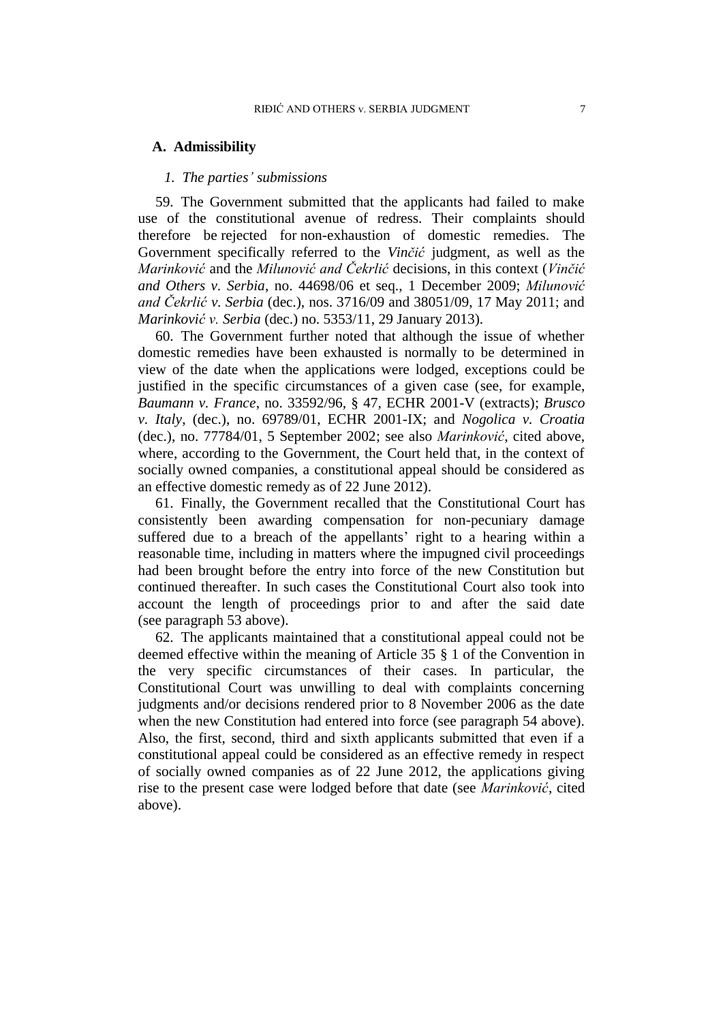### **A. Admissibility**

#### *1. The parties' submissions*

59. The Government submitted that the applicants had failed to make use of the constitutional avenue of redress. Their complaints should therefore be rejected for non-exhaustion of domestic remedies. The Government specifically referred to the *Vinčić* judgment, as well as the *Marinković* and the *Milunović and Čekrlić* decisions, in this context (*Vinčić and Others v. Serbia*, no. 44698/06 et seq., 1 December 2009; *Milunović and Čekrlić v. Serbia* (dec.), nos. 3716/09 and 38051/09, 17 May 2011; and *Marinković v. Serbia* (dec.) no. 5353/11, 29 January 2013).

60. The Government further noted that although the issue of whether domestic remedies have been exhausted is normally to be determined in view of the date when the applications were lodged, exceptions could be justified in the specific circumstances of a given case (see, for example, *Baumann v. France*, no. 33592/96, § 47, ECHR 2001-V (extracts); *Brusco v. Italy*, (dec.), no. 69789/01, ECHR 2001-IX; and *Nogolica v. Croatia* (dec.), no. 77784/01, 5 September 2002; see also *Marinković*, cited above, where, according to the Government, the Court held that, in the context of socially owned companies, a constitutional appeal should be considered as an effective domestic remedy as of 22 June 2012).

61. Finally, the Government recalled that the Constitutional Court has consistently been awarding compensation for non-pecuniary damage suffered due to a breach of the appellants' right to a hearing within a reasonable time, including in matters where the impugned civil proceedings had been brought before the entry into force of the new Constitution but continued thereafter. In such cases the Constitutional Court also took into account the length of proceedings prior to and after the said date (see paragraph 53 above).

62. The applicants maintained that a constitutional appeal could not be deemed effective within the meaning of Article 35 § 1 of the Convention in the very specific circumstances of their cases. In particular, the Constitutional Court was unwilling to deal with complaints concerning judgments and/or decisions rendered prior to 8 November 2006 as the date when the new Constitution had entered into force (see paragraph 54 above). Also, the first, second, third and sixth applicants submitted that even if a constitutional appeal could be considered as an effective remedy in respect of socially owned companies as of 22 June 2012, the applications giving rise to the present case were lodged before that date (see *Marinković*, cited above).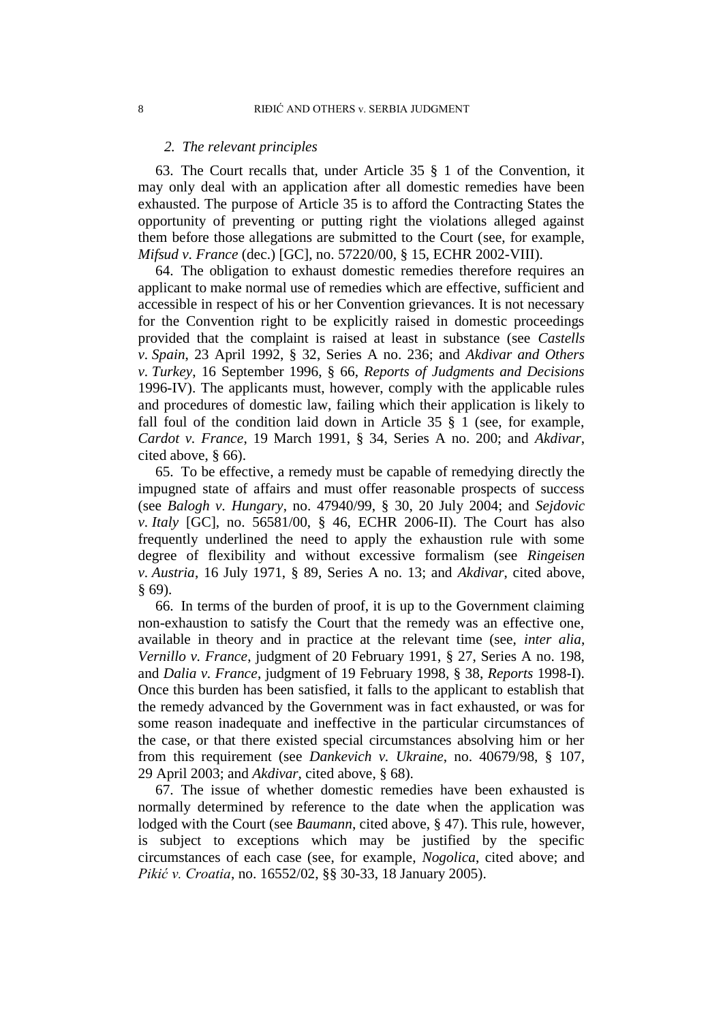#### *2. The relevant principles*

63. The Court recalls that, under Article 35 § 1 of the Convention, it may only deal with an application after all domestic remedies have been exhausted. The purpose of Article 35 is to afford the Contracting States the opportunity of preventing or putting right the violations alleged against them before those allegations are submitted to the Court (see, for example, *Mifsud v. France* (dec.) [GC], no. 57220/00, § 15, ECHR 2002-VIII).

64. The obligation to exhaust domestic remedies therefore requires an applicant to make normal use of remedies which are effective, sufficient and accessible in respect of his or her Convention grievances. It is not necessary for the Convention right to be explicitly raised in domestic proceedings provided that the complaint is raised at least in substance (see *Castells v. Spain*, 23 April 1992, § 32, Series A no. 236; and *Akdivar and Others v. Turkey*, 16 September 1996, § 66, *Reports of Judgments and Decisions*  1996-IV). The applicants must, however, comply with the applicable rules and procedures of domestic law, failing which their application is likely to fall foul of the condition laid down in Article  $35 \tS$  1 (see, for example, *Cardot v. France*, 19 March 1991, § 34, Series A no. 200; and *Akdivar*, cited above, § 66).

65. To be effective, a remedy must be capable of remedying directly the impugned state of affairs and must offer reasonable prospects of success (see *Balogh v. Hungary*, no. 47940/99, § 30, 20 July 2004; and *Sejdovic v. Italy* [GC], no. 56581/00, § 46, ECHR 2006-II). The Court has also frequently underlined the need to apply the exhaustion rule with some degree of flexibility and without excessive formalism (see *Ringeisen v. Austria*, 16 July 1971, § 89, Series A no. 13; and *Akdivar*, cited above, § 69).

66. In terms of the burden of proof, it is up to the Government claiming non-exhaustion to satisfy the Court that the remedy was an effective one, available in theory and in practice at the relevant time (see, *inter alia*, *Vernillo v. France*, judgment of 20 February 1991, § 27, Series A no. 198, and *Dalia v. France*, judgment of 19 February 1998, § 38, *Reports* 1998-I). Once this burden has been satisfied, it falls to the applicant to establish that the remedy advanced by the Government was in fact exhausted, or was for some reason inadequate and ineffective in the particular circumstances of the case, or that there existed special circumstances absolving him or her from this requirement (see *Dankevich v. Ukraine*, no. 40679/98, § 107, 29 April 2003; and *Akdivar*, cited above, § 68).

67. The issue of whether domestic remedies have been exhausted is normally determined by reference to the date when the application was lodged with the Court (see *Baumann*, cited above, § 47). This rule, however, is subject to exceptions which may be justified by the specific circumstances of each case (see, for example, *Nogolica*, cited above; and *Pikić v. Croatia*, no. 16552/02, §§ 30-33, 18 January 2005).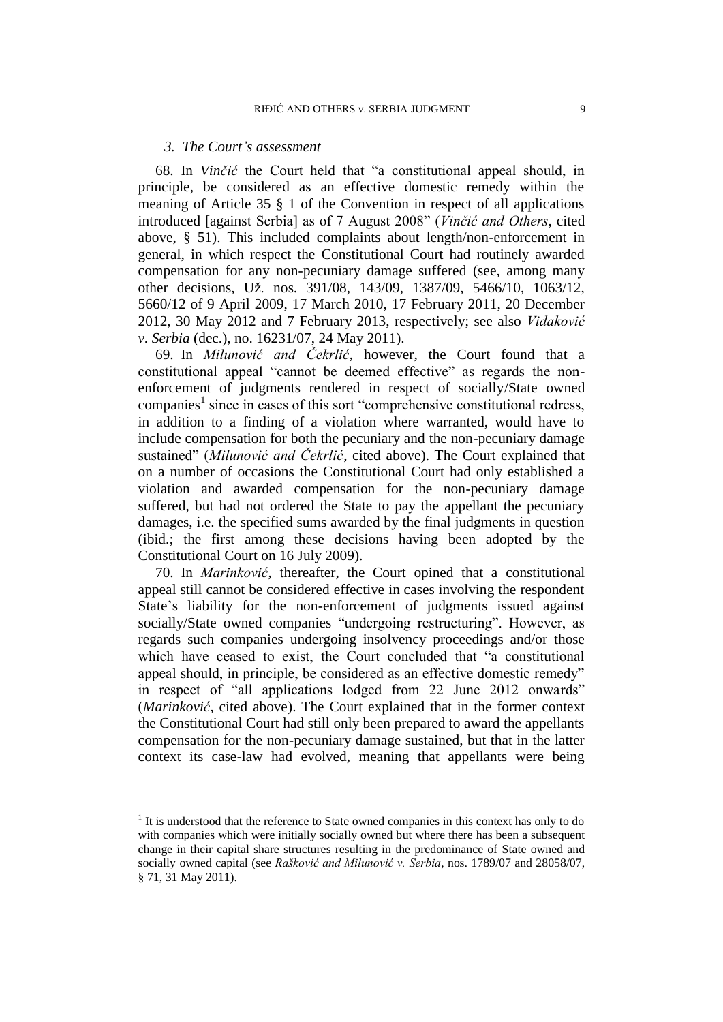### *3. The Court's assessment*

68. In *Vinčić* the Court held that "a constitutional appeal should, in principle, be considered as an effective domestic remedy within the meaning of Article 35 § 1 of the Convention in respect of all applications introduced [against Serbia] as of 7 August 2008" (*Vinčić and Others*, cited above, § 51). This included complaints about length/non-enforcement in general, in which respect the Constitutional Court had routinely awarded compensation for any non-pecuniary damage suffered (see, among many other decisions, Už. nos. 391/08, 143/09, 1387/09, 5466/10, 1063/12, 5660/12 of 9 April 2009, 17 March 2010, 17 February 2011, 20 December 2012, 30 May 2012 and 7 February 2013, respectively; see also *Vidaković v. Serbia* (dec.), no. 16231/07, 24 May 2011).

69. In *Milunović and Čekrlić*, however, the Court found that a constitutional appeal "cannot be deemed effective" as regards the nonenforcement of judgments rendered in respect of socially/State owned companies<sup>1</sup> since in cases of this sort "comprehensive constitutional redress, in addition to a finding of a violation where warranted, would have to include compensation for both the pecuniary and the non-pecuniary damage sustained" (*Milunović and Čekrlić*, cited above). The Court explained that on a number of occasions the Constitutional Court had only established a violation and awarded compensation for the non-pecuniary damage suffered, but had not ordered the State to pay the appellant the pecuniary damages, i.e. the specified sums awarded by the final judgments in question (ibid.; the first among these decisions having been adopted by the Constitutional Court on 16 July 2009).

70. In *Marinković*, thereafter, the Court opined that a constitutional appeal still cannot be considered effective in cases involving the respondent State's liability for the non-enforcement of judgments issued against socially/State owned companies "undergoing restructuring". However, as regards such companies undergoing insolvency proceedings and/or those which have ceased to exist, the Court concluded that "a constitutional appeal should, in principle, be considered as an effective domestic remedy" in respect of "all applications lodged from 22 June 2012 onwards" (*Marinković*, cited above). The Court explained that in the former context the Constitutional Court had still only been prepared to award the appellants compensation for the non-pecuniary damage sustained, but that in the latter context its case-law had evolved, meaning that appellants were being

 $\overline{a}$ 

 $<sup>1</sup>$  It is understood that the reference to State owned companies in this context has only to do</sup> with companies which were initially socially owned but where there has been a subsequent change in their capital share structures resulting in the predominance of State owned and socially owned capital (see *Rašković and Milunović v. Serbia*, nos. 1789/07 and 28058/07, § 71, 31 May 2011).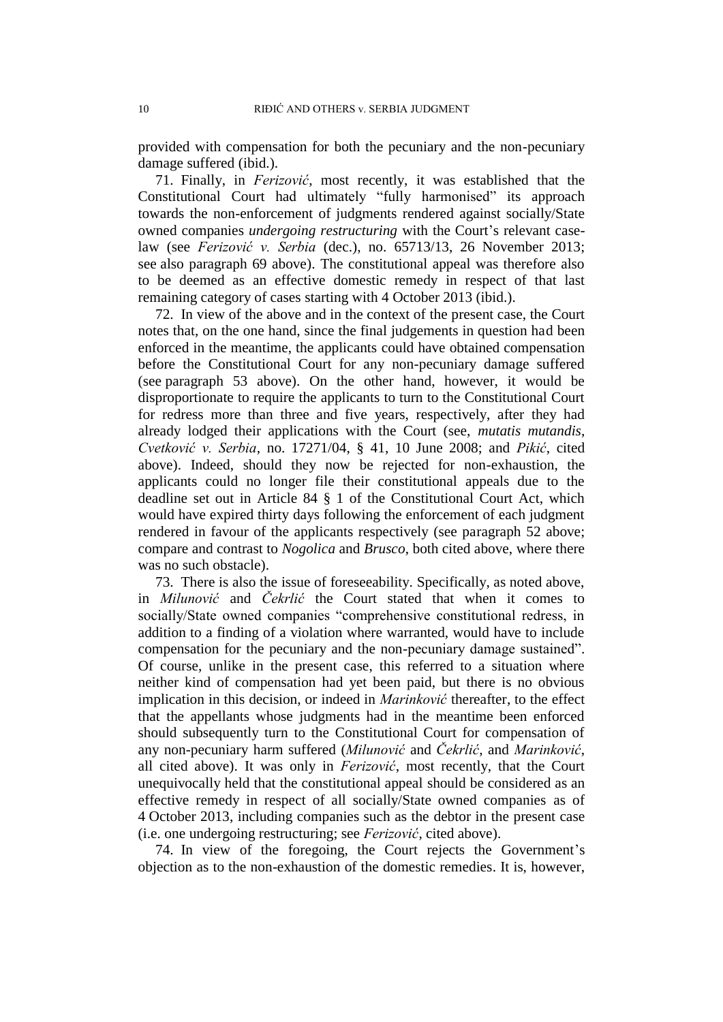provided with compensation for both the pecuniary and the non-pecuniary damage suffered (ibid.).

71. Finally, in *Ferizović*, most recently, it was established that the Constitutional Court had ultimately "fully harmonised" its approach towards the non-enforcement of judgments rendered against socially/State owned companies *undergoing restructuring* with the Court's relevant caselaw (see *Ferizović v. Serbia* (dec.), no. 65713/13, 26 November 2013; see also paragraph 69 above). The constitutional appeal was therefore also to be deemed as an effective domestic remedy in respect of that last remaining category of cases starting with 4 October 2013 (ibid.).

72. In view of the above and in the context of the present case, the Court notes that, on the one hand, since the final judgements in question had been enforced in the meantime, the applicants could have obtained compensation before the Constitutional Court for any non-pecuniary damage suffered (see paragraph 53 above). On the other hand, however, it would be disproportionate to require the applicants to turn to the Constitutional Court for redress more than three and five years, respectively, after they had already lodged their applications with the Court (see, *mutatis mutandis*, *Cvetković v. Serbia*, no. 17271/04, § 41, 10 June 2008; and *Pikić*, cited above). Indeed, should they now be rejected for non-exhaustion, the applicants could no longer file their constitutional appeals due to the deadline set out in Article 84 § 1 of the Constitutional Court Act, which would have expired thirty days following the enforcement of each judgment rendered in favour of the applicants respectively (see paragraph 52 above; compare and contrast to *Nogolica* and *Brusco*, both cited above, where there was no such obstacle).

73. There is also the issue of foreseeability. Specifically, as noted above, in *Milunović* and *Čekrlić* the Court stated that when it comes to socially/State owned companies "comprehensive constitutional redress, in addition to a finding of a violation where warranted, would have to include compensation for the pecuniary and the non-pecuniary damage sustained". Of course, unlike in the present case, this referred to a situation where neither kind of compensation had yet been paid, but there is no obvious implication in this decision, or indeed in *Marinković* thereafter, to the effect that the appellants whose judgments had in the meantime been enforced should subsequently turn to the Constitutional Court for compensation of any non-pecuniary harm suffered (*Milunović* and *Čekrlić*, and *Marinković*, all cited above). It was only in *Ferizović*, most recently, that the Court unequivocally held that the constitutional appeal should be considered as an effective remedy in respect of all socially/State owned companies as of 4 October 2013, including companies such as the debtor in the present case (i.e. one undergoing restructuring; see *Ferizović*, cited above).

74. In view of the foregoing, the Court rejects the Government's objection as to the non-exhaustion of the domestic remedies. It is, however,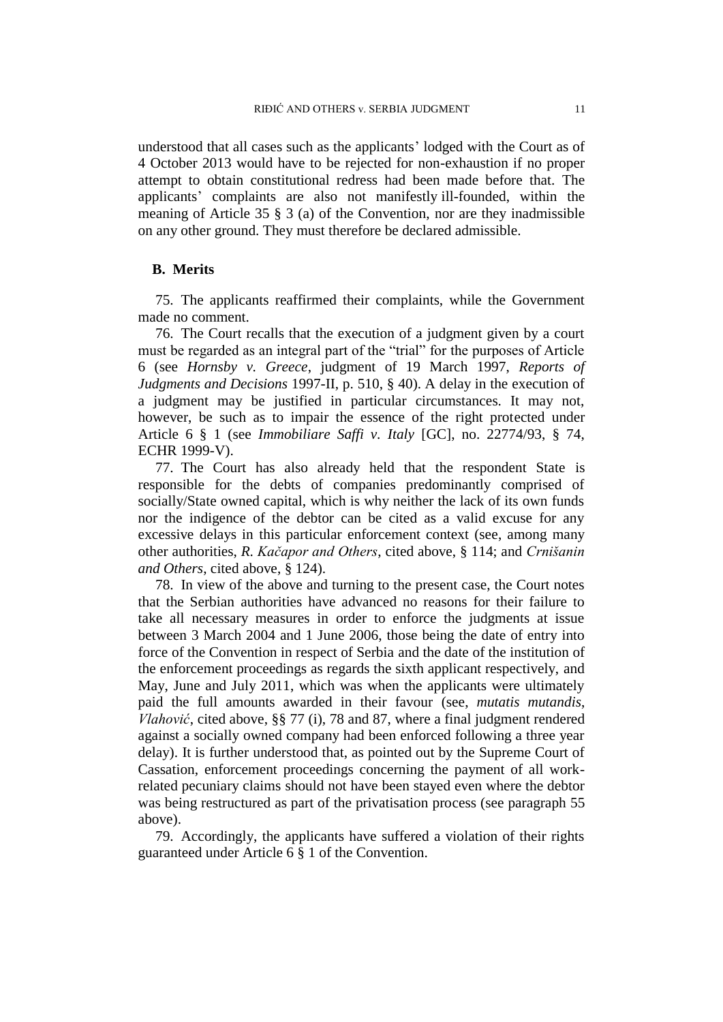understood that all cases such as the applicants' lodged with the Court as of 4 October 2013 would have to be rejected for non-exhaustion if no proper attempt to obtain constitutional redress had been made before that. The applicants' complaints are also not manifestly ill-founded, within the meaning of Article 35 § 3 (a) of the Convention, nor are they inadmissible on any other ground. They must therefore be declared admissible.

### **B. Merits**

75. The applicants reaffirmed their complaints, while the Government made no comment.

76. The Court recalls that the execution of a judgment given by a court must be regarded as an integral part of the "trial" for the purposes of Article 6 (see *Hornsby v. Greece*, judgment of 19 March 1997, *Reports of Judgments and Decisions* 1997-II, p. 510, § 40). A delay in the execution of a judgment may be justified in particular circumstances. It may not, however, be such as to impair the essence of the right protected under Article 6 § 1 (see *Immobiliare Saffi v. Italy* [GC], no. 22774/93, § 74, ECHR 1999-V).

77. The Court has also already held that the respondent State is responsible for the debts of companies predominantly comprised of socially/State owned capital, which is why neither the lack of its own funds nor the indigence of the debtor can be cited as a valid excuse for any excessive delays in this particular enforcement context (see, among many other authorities, *R. Kačapor and Others*, cited above, § 114; and *Crnišanin and Others*, cited above, § 124).

78. In view of the above and turning to the present case, the Court notes that the Serbian authorities have advanced no reasons for their failure to take all necessary measures in order to enforce the judgments at issue between 3 March 2004 and 1 June 2006, those being the date of entry into force of the Convention in respect of Serbia and the date of the institution of the enforcement proceedings as regards the sixth applicant respectively, and May, June and July 2011, which was when the applicants were ultimately paid the full amounts awarded in their favour (see, *mutatis mutandis*, *Vlahović*, cited above, §§ 77 (i), 78 and 87, where a final judgment rendered against a socially owned company had been enforced following a three year delay). It is further understood that, as pointed out by the Supreme Court of Cassation, enforcement proceedings concerning the payment of all workrelated pecuniary claims should not have been stayed even where the debtor was being restructured as part of the privatisation process (see paragraph 55 above).

79. Accordingly, the applicants have suffered a violation of their rights guaranteed under Article 6 § 1 of the Convention.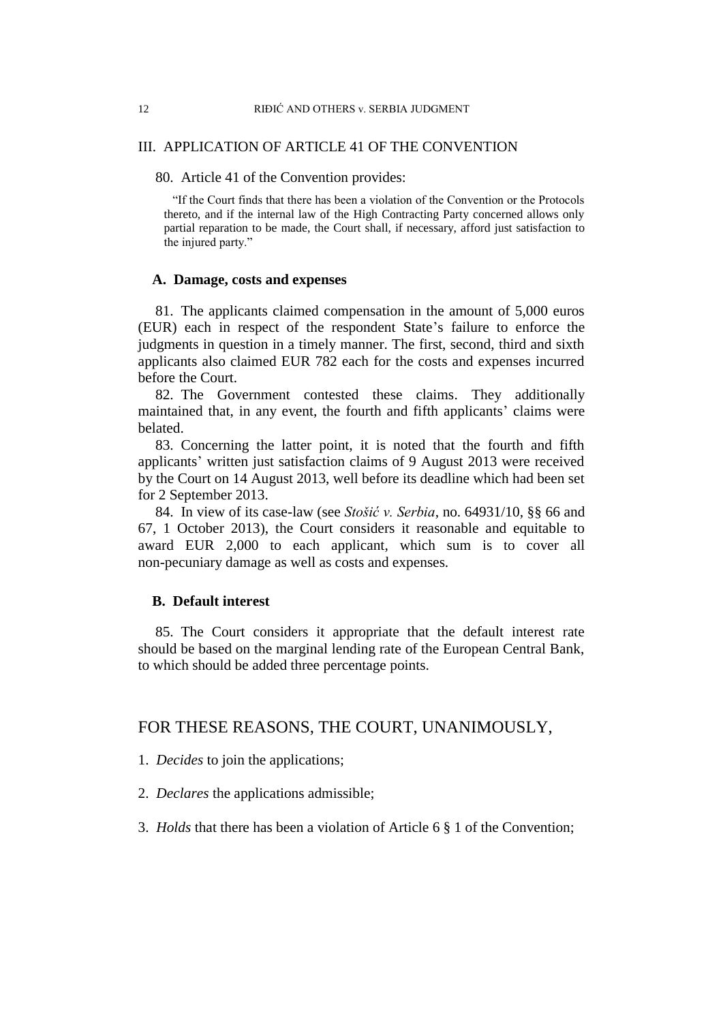### III. APPLICATION OF ARTICLE 41 OF THE CONVENTION

80. Article 41 of the Convention provides:

"If the Court finds that there has been a violation of the Convention or the Protocols thereto, and if the internal law of the High Contracting Party concerned allows only partial reparation to be made, the Court shall, if necessary, afford just satisfaction to the injured party."

### **A. Damage, costs and expenses**

81. The applicants claimed compensation in the amount of 5,000 euros (EUR) each in respect of the respondent State's failure to enforce the judgments in question in a timely manner. The first, second, third and sixth applicants also claimed EUR 782 each for the costs and expenses incurred before the Court.

82. The Government contested these claims. They additionally maintained that, in any event, the fourth and fifth applicants' claims were belated.

83. Concerning the latter point, it is noted that the fourth and fifth applicants' written just satisfaction claims of 9 August 2013 were received by the Court on 14 August 2013, well before its deadline which had been set for 2 September 2013.

84. In view of its case-law (see *Stošić v. Serbia*, no. 64931/10, §§ 66 and 67, 1 October 2013), the Court considers it reasonable and equitable to award EUR 2,000 to each applicant, which sum is to cover all non-pecuniary damage as well as costs and expenses.

### **B. Default interest**

85. The Court considers it appropriate that the default interest rate should be based on the marginal lending rate of the European Central Bank, to which should be added three percentage points.

## FOR THESE REASONS, THE COURT, UNANIMOUSLY,

- 1. *Decides* to join the applications;
- 2. *Declares* the applications admissible;
- 3. *Holds* that there has been a violation of Article 6 § 1 of the Convention;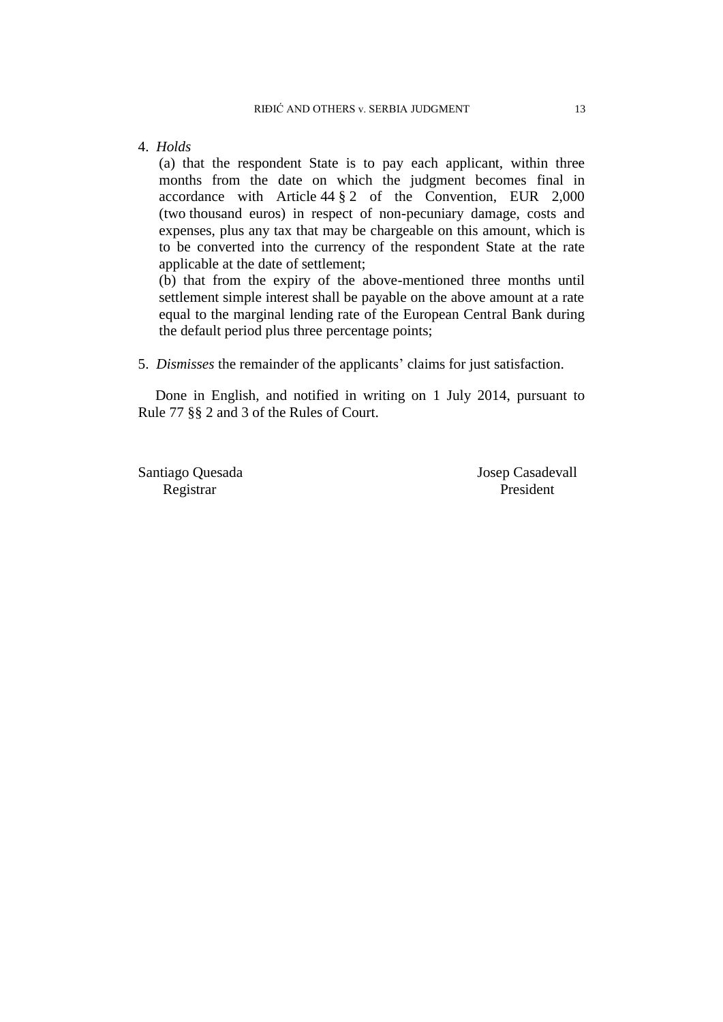4. *Holds*

(a) that the respondent State is to pay each applicant, within three months from the date on which the judgment becomes final in accordance with Article 44 § 2 of the Convention, EUR 2,000 (two thousand euros) in respect of non-pecuniary damage, costs and expenses, plus any tax that may be chargeable on this amount, which is to be converted into the currency of the respondent State at the rate applicable at the date of settlement;

(b) that from the expiry of the above-mentioned three months until settlement simple interest shall be payable on the above amount at a rate equal to the marginal lending rate of the European Central Bank during the default period plus three percentage points;

5. *Dismisses* the remainder of the applicants' claims for just satisfaction.

Done in English, and notified in writing on 1 July 2014, pursuant to Rule 77 §§ 2 and 3 of the Rules of Court.

Registrar President

Santiago Quesada Josep Casadevall